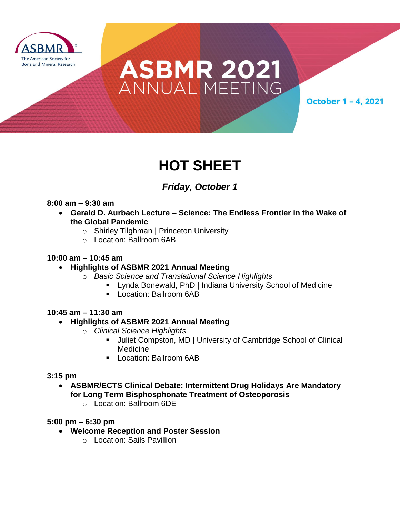

# ASBMR 2021<br>ANNUALMEETING

**October 1 - 4, 2021** 

## **HOT SHEET**

### *Friday, October 1*

#### **8:00 am – 9:30 am**

- **Gerald D. Aurbach Lecture – Science: The Endless Frontier in the Wake of the Global Pandemic**
	- o Shirley Tilghman | Princeton University
	- o Location: Ballroom 6AB

#### **10:00 am – 10:45 am**

#### **Highlights of ASBMR 2021 Annual Meeting**

- o *Basic Science and Translational Science Highlights*
	- Lynda Bonewald, PhD | Indiana University School of Medicine
	- **Location: Ballroom 6AB**

#### **10:45 am – 11:30 am**

#### **Highlights of ASBMR 2021 Annual Meeting**

- o *Clinical Science Highlights*
	- Juliet Compston, MD | University of Cambridge School of Clinical **Medicine**
	- **Location: Ballroom 6AB**

#### **3:15 pm**

- **ASBMR/ECTS Clinical Debate: Intermittent Drug Holidays Are Mandatory for Long Term Bisphosphonate Treatment of Osteoporosis**
	- o Location: Ballroom 6DE

#### **5:00 pm – 6:30 pm**

- **Welcome Reception and Poster Session**
	- o Location: Sails Pavillion